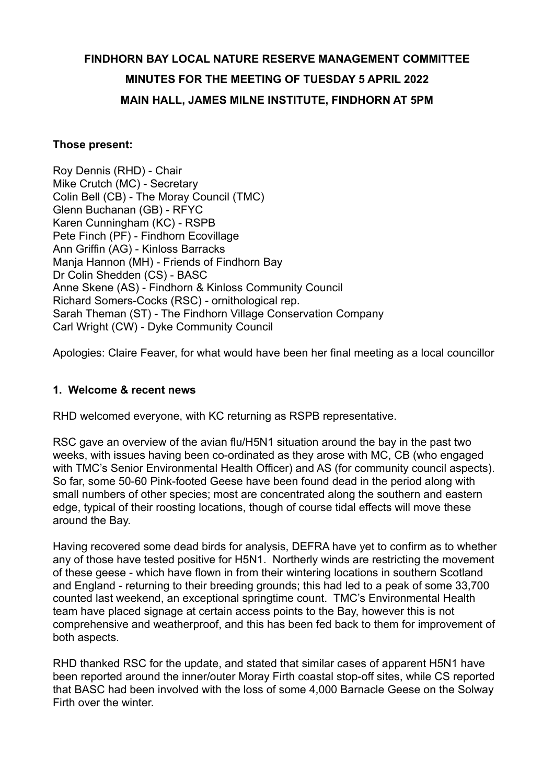# **FINDHORN BAY LOCAL NATURE RESERVE MANAGEMENT COMMITTEE MINUTES FOR THE MEETING OF TUESDAY 5 APRIL 2022 MAIN HALL, JAMES MILNE INSTITUTE, FINDHORN AT 5PM**

#### **Those present:**

Roy Dennis (RHD) - Chair Mike Crutch (MC) - Secretary Colin Bell (CB) - The Moray Council (TMC) Glenn Buchanan (GB) - RFYC Karen Cunningham (KC) - RSPB Pete Finch (PF) - Findhorn Ecovillage Ann Griffin (AG) - Kinloss Barracks Manja Hannon (MH) - Friends of Findhorn Bay Dr Colin Shedden (CS) - BASC Anne Skene (AS) - Findhorn & Kinloss Community Council Richard Somers-Cocks (RSC) - ornithological rep. Sarah Theman (ST) - The Findhorn Village Conservation Company Carl Wright (CW) - Dyke Community Council

Apologies: Claire Feaver, for what would have been her final meeting as a local councillor

#### **1. Welcome & recent news**

RHD welcomed everyone, with KC returning as RSPB representative.

RSC gave an overview of the avian flu/H5N1 situation around the bay in the past two weeks, with issues having been co-ordinated as they arose with MC, CB (who engaged with TMC's Senior Environmental Health Officer) and AS (for community council aspects). So far, some 50-60 Pink-footed Geese have been found dead in the period along with small numbers of other species; most are concentrated along the southern and eastern edge, typical of their roosting locations, though of course tidal effects will move these around the Bay.

Having recovered some dead birds for analysis, DEFRA have yet to confirm as to whether any of those have tested positive for H5N1. Northerly winds are restricting the movement of these geese - which have flown in from their wintering locations in southern Scotland and England - returning to their breeding grounds; this had led to a peak of some 33,700 counted last weekend, an exceptional springtime count. TMC's Environmental Health team have placed signage at certain access points to the Bay, however this is not comprehensive and weatherproof, and this has been fed back to them for improvement of both aspects.

RHD thanked RSC for the update, and stated that similar cases of apparent H5N1 have been reported around the inner/outer Moray Firth coastal stop-off sites, while CS reported that BASC had been involved with the loss of some 4,000 Barnacle Geese on the Solway Firth over the winter.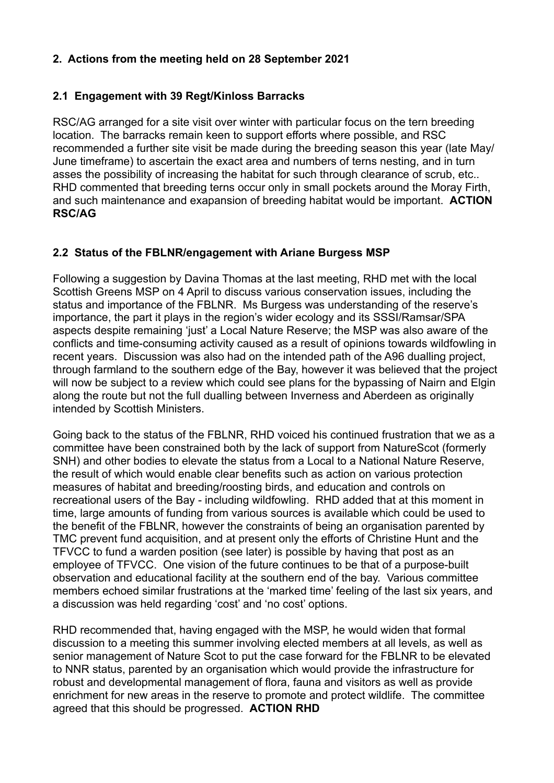# **2. Actions from the meeting held on 28 September 2021**

# **2.1 Engagement with 39 Regt/Kinloss Barracks**

RSC/AG arranged for a site visit over winter with particular focus on the tern breeding location. The barracks remain keen to support efforts where possible, and RSC recommended a further site visit be made during the breeding season this year (late May/ June timeframe) to ascertain the exact area and numbers of terns nesting, and in turn asses the possibility of increasing the habitat for such through clearance of scrub, etc.. RHD commented that breeding terns occur only in small pockets around the Moray Firth, and such maintenance and exapansion of breeding habitat would be important. **ACTION RSC/AG**

# **2.2 Status of the FBLNR/engagement with Ariane Burgess MSP**

Following a suggestion by Davina Thomas at the last meeting, RHD met with the local Scottish Greens MSP on 4 April to discuss various conservation issues, including the status and importance of the FBLNR. Ms Burgess was understanding of the reserve's importance, the part it plays in the region's wider ecology and its SSSI/Ramsar/SPA aspects despite remaining 'just' a Local Nature Reserve; the MSP was also aware of the conflicts and time-consuming activity caused as a result of opinions towards wildfowling in recent years. Discussion was also had on the intended path of the A96 dualling project, through farmland to the southern edge of the Bay, however it was believed that the project will now be subject to a review which could see plans for the bypassing of Nairn and Elgin along the route but not the full dualling between Inverness and Aberdeen as originally intended by Scottish Ministers.

Going back to the status of the FBLNR, RHD voiced his continued frustration that we as a committee have been constrained both by the lack of support from NatureScot (formerly SNH) and other bodies to elevate the status from a Local to a National Nature Reserve, the result of which would enable clear benefits such as action on various protection measures of habitat and breeding/roosting birds, and education and controls on recreational users of the Bay - including wildfowling. RHD added that at this moment in time, large amounts of funding from various sources is available which could be used to the benefit of the FBLNR, however the constraints of being an organisation parented by TMC prevent fund acquisition, and at present only the efforts of Christine Hunt and the TFVCC to fund a warden position (see later) is possible by having that post as an employee of TFVCC. One vision of the future continues to be that of a purpose-built observation and educational facility at the southern end of the bay. Various committee members echoed similar frustrations at the 'marked time' feeling of the last six years, and a discussion was held regarding 'cost' and 'no cost' options.

RHD recommended that, having engaged with the MSP, he would widen that formal discussion to a meeting this summer involving elected members at all levels, as well as senior management of Nature Scot to put the case forward for the FBLNR to be elevated to NNR status, parented by an organisation which would provide the infrastructure for robust and developmental management of flora, fauna and visitors as well as provide enrichment for new areas in the reserve to promote and protect wildlife. The committee agreed that this should be progressed. **ACTION RHD**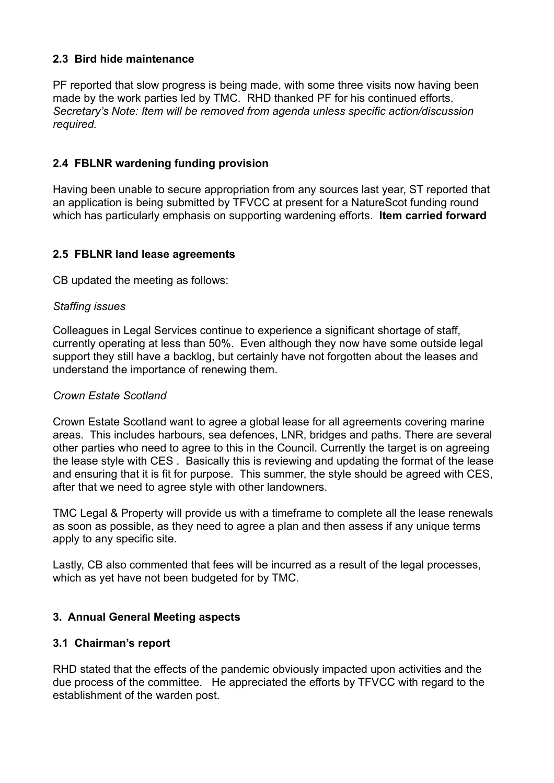# **2.3 Bird hide maintenance**

PF reported that slow progress is being made, with some three visits now having been made by the work parties led by TMC. RHD thanked PF for his continued efforts. *Secretary's Note: Item will be removed from agenda unless specific action/discussion required.*

# **2.4 FBLNR wardening funding provision**

Having been unable to secure appropriation from any sources last year, ST reported that an application is being submitted by TFVCC at present for a NatureScot funding round which has particularly emphasis on supporting wardening efforts. **Item carried forward**

## **2.5 FBLNR land lease agreements**

CB updated the meeting as follows:

## *Staffing issues*

Colleagues in Legal Services continue to experience a significant shortage of staff, currently operating at less than 50%. Even although they now have some outside legal support they still have a backlog, but certainly have not forgotten about the leases and understand the importance of renewing them.

#### *Crown Estate Scotland*

Crown Estate Scotland want to agree a global lease for all agreements covering marine areas. This includes harbours, sea defences, LNR, bridges and paths. There are several other parties who need to agree to this in the Council. Currently the target is on agreeing the lease style with CES . Basically this is reviewing and updating the format of the lease and ensuring that it is fit for purpose. This summer, the style should be agreed with CES, after that we need to agree style with other landowners.

TMC Legal & Property will provide us with a timeframe to complete all the lease renewals as soon as possible, as they need to agree a plan and then assess if any unique terms apply to any specific site.

Lastly, CB also commented that fees will be incurred as a result of the legal processes, which as yet have not been budgeted for by TMC.

## **3. Annual General Meeting aspects**

## **3.1 Chairman's report**

RHD stated that the effects of the pandemic obviously impacted upon activities and the due process of the committee. He appreciated the efforts by TFVCC with regard to the establishment of the warden post.